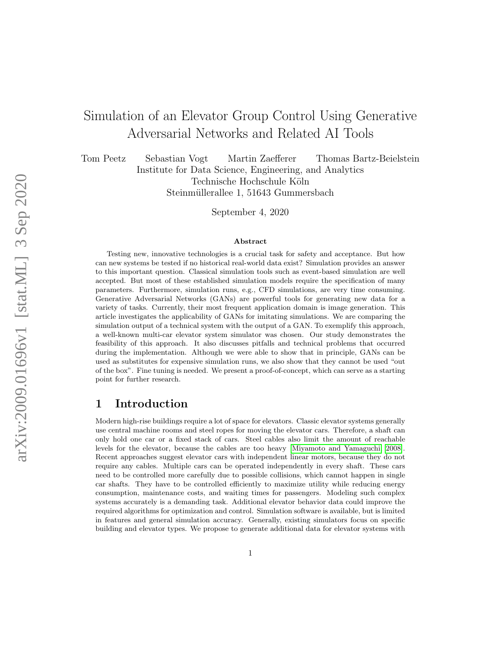# <span id="page-0-0"></span>Simulation of an Elevator Group Control Using Generative Adversarial Networks and Related AI Tools

Tom Peetz Sebastian Vogt Martin Zaefferer Thomas Bartz-Beielstein Institute for Data Science, Engineering, and Analytics Technische Hochschule Köln Steinmüllerallee 1, 51643 Gummersbach

September 4, 2020

#### Abstract

Testing new, innovative technologies is a crucial task for safety and acceptance. But how can new systems be tested if no historical real-world data exist? Simulation provides an answer to this important question. Classical simulation tools such as event-based simulation are well accepted. But most of these established simulation models require the specification of many parameters. Furthermore, simulation runs, e.g., CFD simulations, are very time consuming. Generative Adversarial Networks (GANs) are powerful tools for generating new data for a variety of tasks. Currently, their most frequent application domain is image generation. This article investigates the applicability of GANs for imitating simulations. We are comparing the simulation output of a technical system with the output of a GAN. To exemplify this approach, a well-known multi-car elevator system simulator was chosen. Our study demonstrates the feasibility of this approach. It also discusses pitfalls and technical problems that occurred during the implementation. Although we were able to show that in principle, GANs can be used as substitutes for expensive simulation runs, we also show that they cannot be used "out of the box". Fine tuning is needed. We present a proof-of-concept, which can serve as a starting point for further research.

### 1 Introduction

Modern high-rise buildings require a lot of space for elevators. Classic elevator systems generally use central machine rooms and steel ropes for moving the elevator cars. Therefore, a shaft can only hold one car or a fixed stack of cars. Steel cables also limit the amount of reachable levels for the elevator, because the cables are too heavy [\[Miyamoto and Yamaguchi, 2008\]](#page-13-0). Recent approaches suggest elevator cars with independent linear motors, because they do not require any cables. Multiple cars can be operated independently in every shaft. These cars need to be controlled more carefully due to possible collisions, which cannot happen in single car shafts. They have to be controlled efficiently to maximize utility while reducing energy consumption, maintenance costs, and waiting times for passengers. Modeling such complex systems accurately is a demanding task. Additional elevator behavior data could improve the required algorithms for optimization and control. Simulation software is available, but is limited in features and general simulation accuracy. Generally, existing simulators focus on specific building and elevator types. We propose to generate additional data for elevator systems with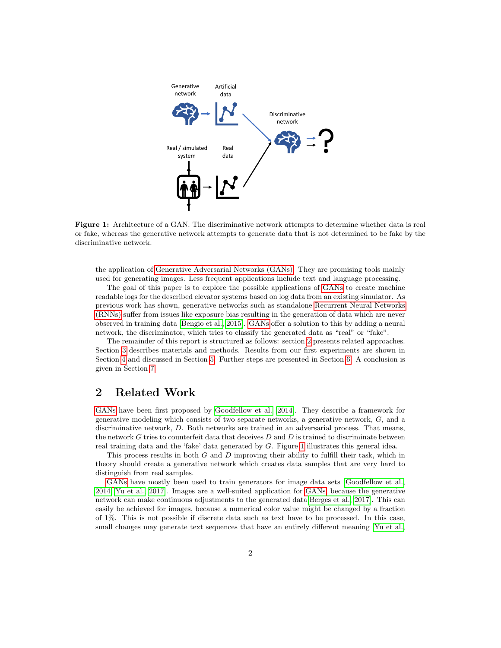<span id="page-1-1"></span>

Figure 1: Architecture of a GAN. The discriminative network attempts to determine whether data is real or fake, whereas the generative network attempts to generate data that is not determined to be fake by the discriminative network.

the application of [Generative Adversarial Networks \(GANs\).](#page-0-0) They are promising tools mainly used for generating images. Less frequent applications include text and language processing.

The goal of this paper is to explore the possible applications of [GANs](#page-0-0) to create machine readable logs for the described elevator systems based on log data from an existing simulator. As previous work has shown, generative networks such as standalone [Recurrent Neural Networks](#page-0-0) [\(RNNs\)](#page-0-0) suffer from issues like exposure bias resulting in the generation of data which are never observed in training data [\[Bengio et al., 2015\]](#page-12-0). [GANs](#page-0-0) offer a solution to this by adding a neural network, the discriminator, which tries to classify the generated data as "real" or "fake".

The remainder of this report is structured as follows: section [2](#page-1-0) presents related approaches. Section [3](#page-2-0) describes materials and methods. Results from our first experiments are shown in Section [4](#page-7-0) and discussed in Section [5.](#page-9-0) Further steps are presented in Section [6.](#page-10-0) A conclusion is given in Section [7.](#page-11-0)

# <span id="page-1-0"></span>2 Related Work

[GANs](#page-0-0) have been first proposed by [Goodfellow et al.](#page-12-1) [\[2014\]](#page-12-1). They describe a framework for generative modeling which consists of two separate networks, a generative network, G, and a discriminative network, D. Both networks are trained in an adversarial process. That means, the network  $G$  tries to counterfeit data that deceives  $D$  and  $D$  is trained to discriminate between real training data and the 'fake' data generated by G. Figure [1](#page-1-1) illustrates this general idea.

This process results in both G and D improving their ability to fulfill their task, which in theory should create a generative network which creates data samples that are very hard to distinguish from real samples.

[GANs](#page-0-0) have mostly been used to train generators for image data sets [\[Goodfellow et al.,](#page-12-1) [2014,](#page-12-1) [Yu et al., 2017\]](#page-13-1). Images are a well-suited application for [GANs,](#page-0-0) because the generative network can make continuous adjustments to the generated data[\[Berges et al., 2017\]](#page-12-2). This can easily be achieved for images, because a numerical color value might be changed by a fraction of 1%. This is not possible if discrete data such as text have to be processed. In this case, small changes may generate text sequences that have an entirely different meaning [\[Yu et al.,](#page-13-1)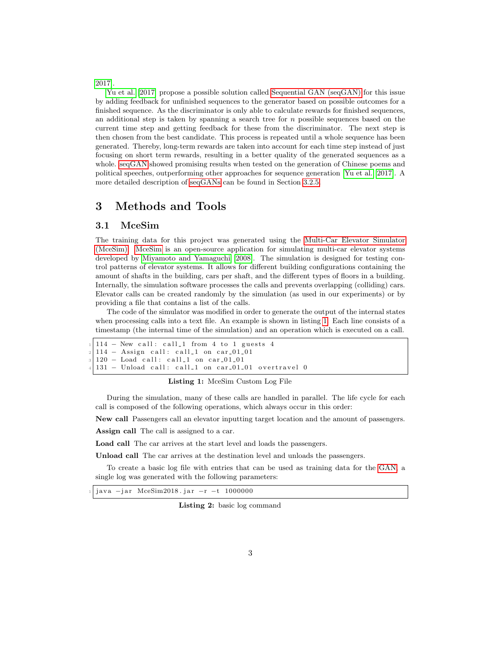[2017\]](#page-13-1).

[Yu et al.](#page-13-1) [\[2017\]](#page-13-1) propose a possible solution called [Sequential GAN \(seqGAN\)](#page-0-0) for this issue by adding feedback for unfinished sequences to the generator based on possible outcomes for a finished sequence. As the discriminator is only able to calculate rewards for finished sequences, an additional step is taken by spanning a search tree for  $n$  possible sequences based on the current time step and getting feedback for these from the discriminator. The next step is then chosen from the best candidate. This process is repeated until a whole sequence has been generated. Thereby, long-term rewards are taken into account for each time step instead of just focusing on short term rewards, resulting in a better quality of the generated sequences as a whole. [seqGAN](#page-0-0) showed promising results when tested on the generation of Chinese poems and political speeches, outperforming other approaches for sequence generation [\[Yu et al., 2017\]](#page-13-1). A more detailed description of [seqGANs](#page-0-0) can be found in Section [3.2.5.](#page-5-0)

### <span id="page-2-0"></span>3 Methods and Tools

#### 3.1 MceSim

The training data for this project was generated using the [Multi-Car Elevator Simulator](#page-0-0) [\(MceSim\). MceSim](#page-0-0) is an open-source application for simulating multi-car elevator systems developed by [Miyamoto and Yamaguchi](#page-13-0) [\[2008\]](#page-13-0). The simulation is designed for testing control patterns of elevator systems. It allows for different building configurations containing the amount of shafts in the building, cars per shaft, and the different types of floors in a building. Internally, the simulation software processes the calls and prevents overlapping (colliding) cars. Elevator calls can be created randomly by the simulation (as used in our experiments) or by providing a file that contains a list of the calls.

The code of the simulator was modified in order to generate the output of the internal states when processing calls into a text file. An example is shown in listing [1.](#page-2-1) Each line consists of a timestamp (the internal time of the simulation) and an operation which is executed on a call.

```
114 – New call: call_1 from 4 to 1 guests 4
114 - Assign call: call_1 on car_01_01
120 - Load call: call_1 on car_01_01
131 - Unload call: call_1 on car_01_01 overtravel 0
```
#### Listing 1: MceSim Custom Log File

During the simulation, many of these calls are handled in parallel. The life cycle for each call is composed of the following operations, which always occur in this order:

New call Passengers call an elevator inputting target location and the amount of passengers.

Assign call The call is assigned to a car.

Load call The car arrives at the start level and loads the passengers.

Unload call The car arrives at the destination level and unloads the passengers.

To create a basic log file with entries that can be used as training data for the [GAN,](#page-0-0) a single log was generated with the following parameters:

java -jar MceSim2018. jar -r -t 1000000

Listing 2: basic log command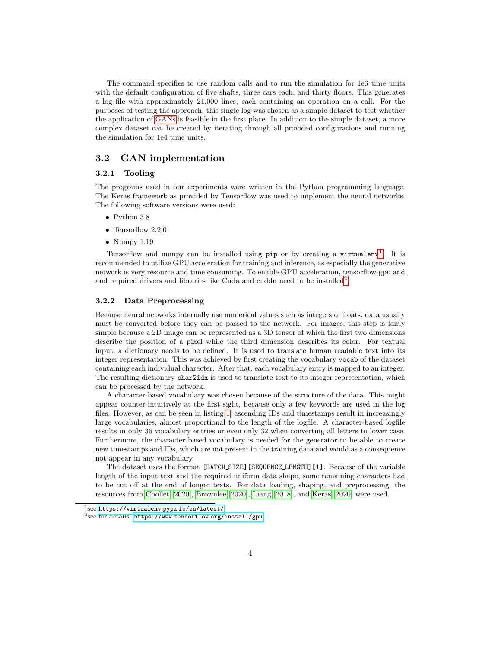The command specifies to use random calls and to run the simulation for 1e6 time units with the default configuration of five shafts, three cars each, and thirty floors. This generates a log file with approximately 21,000 lines, each containing an operation on a call. For the purposes of testing the approach, this single log was chosen as a simple dataset to test whether the application of [GANs](#page-0-0) is feasible in the first place. In addition to the simple dataset, a more complex dataset can be created by iterating through all provided configurations and running the simulation for 1e4 time units.

#### 3.2 GAN implementation

#### 3.2.1 Tooling

The programs used in our experiments were written in the Python programming language. The Keras framework as provided by Tensorflow was used to implement the neural networks. The following software versions were used:

- Python 3.8
- Tensorflow 2.2.0
- Numpy  $1.19$

Tensorflow and numpy can be installed using  $pip$  or by creating a virtualenv<sup>[1](#page-3-0)</sup>. It is recommended to utilize GPU acceleration for training and inference, as especially the generative network is very resource and time consuming. To enable GPU acceleration, tensorflow-gpu and and required drivers and libraries like Cuda and cuddn need to be installed<sup>[2](#page-3-1)</sup>.

#### 3.2.2 Data Preprocessing

Because neural networks internally use numerical values such as integers or floats, data usually must be converted before they can be passed to the network. For images, this step is fairly simple because a 2D image can be represented as a 3D tensor of which the first two dimensions describe the position of a pixel while the third dimension describes its color. For textual input, a dictionary needs to be defined. It is used to translate human readable text into its integer representation. This was achieved by first creating the vocabulary vocab of the dataset containing each individual character. After that, each vocabulary entry is mapped to an integer. The resulting dictionary char2idx is used to translate text to its integer representation, which can be processed by the network.

A character-based vocabulary was chosen because of the structure of the data. This might appear counter-intuitively at the first sight, because only a few keywords are used in the log files. However, as can be seen in listing [1,](#page-2-1) ascending IDs and timestamps result in increasingly large vocabularies, almost proportional to the length of the logfile. A character-based logfile results in only 36 vocabulary entries or even only 32 when converting all letters to lower case. Furthermore, the character based vocabulary is needed for the generator to be able to create new timestamps and IDs, which are not present in the training data and would as a consequence not appear in any vocabulary.

The dataset uses the format [BATCH SIZE][SEQUENCE LENGTH][1]. Because of the variable length of the input text and the required uniform data shape, some remaining characters had to be cut off at the end of longer texts. For data loading, shaping, and preprocessing, the resources from [Chollet](#page-12-3) [\[2020\]](#page-12-3), [Brownlee](#page-12-4) [\[2020\]](#page-12-4), [Liang](#page-12-5) [\[2018\]](#page-12-5), and [Keras](#page-12-6) [\[2020\]](#page-12-6) were used.

<span id="page-3-0"></span><sup>1</sup> see [https://virtualenv](https://virtualenv.pypa.io/en/latest/).pypa.io/en/latest/

<span id="page-3-1"></span> $^{2}$ see for details: https://www.tensorflow.[org/install/gpu](https://www.tensorflow.org/install/gpu)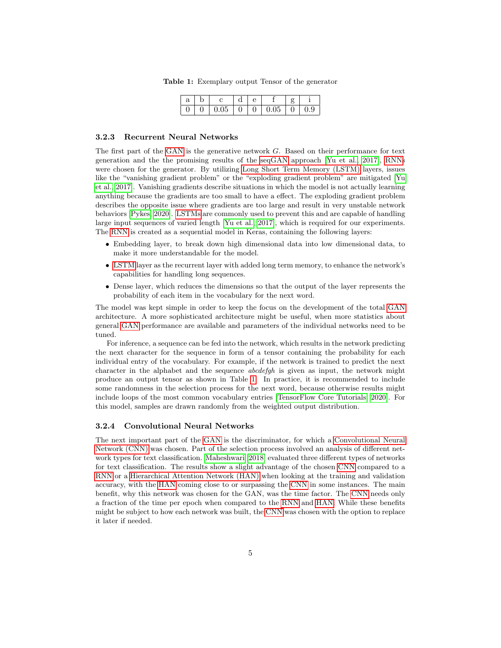| $\boldsymbol{\alpha}$ | $\sim$ |    |  |    |          |
|-----------------------|--------|----|--|----|----------|
|                       |        | υu |  | U5 | <u>.</u> |

Table 1: Exemplary output Tensor of the generator

#### <span id="page-4-1"></span><span id="page-4-0"></span>3.2.3 Recurrent Neural Networks

The first part of the [GAN](#page-0-0) is the generative network  $G$ . Based on their performance for text generation and the the promising results of the [seqGAN](#page-0-0) approach [\[Yu et al., 2017\]](#page-13-1), [RNNs](#page-0-0) were chosen for the generator. By utilizing [Long Short Term Memory \(LSTM\)](#page-0-0) layers, issues like the "vanishing gradient problem" or the "exploding gradient problem" are mitigated [\[Yu](#page-13-1) [et al., 2017\]](#page-13-1). Vanishing gradients describe situations in which the model is not actually learning anything because the gradients are too small to have a effect. The exploding gradient problem describes the opposite issue where gradients are too large and result in very unstable network behaviors [\[Pykes, 2020\]](#page-13-2). [LSTMs](#page-0-0) are commonly used to prevent this and are capable of handling large input sequences of varied length [\[Yu et al., 2017\]](#page-13-1), which is required for our experiments. The [RNN](#page-0-0) is created as a sequential model in Keras, containing the following layers:

- Embedding layer, to break down high dimensional data into low dimensional data, to make it more understandable for the model.
- [LSTM](#page-0-0) layer as the recurrent layer with added long term memory, to enhance the network's capabilities for handling long sequences.
- Dense layer, which reduces the dimensions so that the output of the layer represents the probability of each item in the vocabulary for the next word.

The model was kept simple in order to keep the focus on the development of the total [GAN](#page-0-0) architecture. A more sophisticated architecture might be useful, when more statistics about general [GAN](#page-0-0) performance are available and parameters of the individual networks need to be tuned.

For inference, a sequence can be fed into the network, which results in the network predicting the next character for the sequence in form of a tensor containing the probability for each individual entry of the vocabulary. For example, if the network is trained to predict the next character in the alphabet and the sequence abcdefgh is given as input, the network might produce an output tensor as shown in Table [1.](#page-4-0) In practice, it is recommended to include some randomness in the selection process for the next word, because otherwise results might include loops of the most common vocabulary entries [\[TensorFlow Core Tutorials, 2020\]](#page-13-3). For this model, samples are drawn randomly from the weighted output distribution.

#### <span id="page-4-2"></span>3.2.4 Convolutional Neural Networks

The next important part of the [GAN](#page-0-0) is the discriminator, for which a [Convolutional Neural](#page-0-0) [Network \(CNN\)](#page-0-0) was chosen. Part of the selection process involved an analysis of different network types for text classification. [Maheshwari](#page-13-4) [\[2018\]](#page-13-4) evaluated three different types of networks for text classification. The results show a slight advantage of the chosen [CNN](#page-0-0) compared to a [RNN](#page-0-0) or a [Hierarchical Attention Network \(HAN\)](#page-0-0) when looking at the training and validation accuracy, with the [HAN](#page-0-0) coming close to or surpassing the [CNN](#page-0-0) in some instances. The main benefit, why this network was chosen for the GAN, was the time factor. The [CNN](#page-0-0) needs only a fraction of the time per epoch when compared to the [RNN](#page-0-0) and [HAN.](#page-0-0) While these benefits might be subject to how each network was built, the [CNN](#page-0-0) was chosen with the option to replace it later if needed.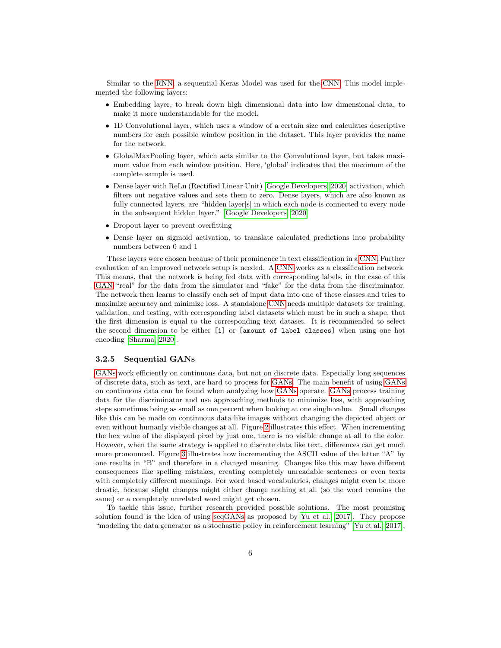Similar to the [RNN,](#page-0-0) a sequential Keras Model was used for the [CNN.](#page-0-0) This model implemented the following layers:

- Embedding layer, to break down high dimensional data into low dimensional data, to make it more understandable for the model.
- 1D Convolutional layer, which uses a window of a certain size and calculates descriptive numbers for each possible window position in the dataset. This layer provides the name for the network.
- GlobalMaxPooling layer, which acts similar to the Convolutional layer, but takes maximum value from each window position. Here, 'global' indicates that the maximum of the complete sample is used.
- Dense layer with ReLu (Rectified Linear Unit) [\[Google Developers, 2020\]](#page-12-7) activation, which filters out negative values and sets them to zero. Dense layers, which are also known as fully connected layers, are "hidden layer[s] in which each node is connected to every node in the subsequent hidden layer." [\[Google Developers, 2020\]](#page-12-7)
- Dropout layer to prevent overfitting
- Dense layer on sigmoid activation, to translate calculated predictions into probability numbers between 0 and 1

These layers were chosen because of their prominence in text classification in a [CNN.](#page-0-0) Further evaluation of an improved network setup is needed. A [CNN](#page-0-0) works as a classification network. This means, that the network is being fed data with corresponding labels, in the case of this [GAN](#page-0-0) "real" for the data from the simulator and "fake" for the data from the discriminator. The network then learns to classify each set of input data into one of these classes and tries to maximize accuracy and minimize loss. A standalone [CNN](#page-0-0) needs multiple datasets for training, validation, and testing, with corresponding label datasets which must be in such a shape, that the first dimension is equal to the corresponding text dataset. It is recommended to select the second dimension to be either [1] or [amount of label classes] when using one hot encoding [\[Sharma, 2020\]](#page-13-5).

#### <span id="page-5-0"></span>3.2.5 Sequential GANs

[GANs](#page-0-0) work efficiently on continuous data, but not on discrete data. Especially long sequences of discrete data, such as text, are hard to process for [GANs.](#page-0-0) The main benefit of using [GANs](#page-0-0) on continuous data can be found when analyzing how [GANs](#page-0-0) operate. [GANs](#page-0-0) process training data for the discriminator and use approaching methods to minimize loss, with approaching steps sometimes being as small as one percent when looking at one single value. Small changes like this can be made on continuous data like images without changing the depicted object or even without humanly visible changes at all. Figure [2](#page-6-0) illustrates this effect. When incrementing the hex value of the displayed pixel by just one, there is no visible change at all to the color. However, when the same strategy is applied to discrete data like text, differences can get much more pronounced. Figure [3](#page-6-1) illustrates how incrementing the ASCII value of the letter "A" by one results in "B" and therefore in a changed meaning. Changes like this may have different consequences like spelling mistakes, creating completely unreadable sentences or even texts with completely different meanings. For word based vocabularies, changes might even be more drastic, because slight changes might either change nothing at all (so the word remains the same) or a completely unrelated word might get chosen.

To tackle this issue, further research provided possible solutions. The most promising solution found is the idea of using [seqGANs](#page-0-0) as proposed by [Yu et al.](#page-13-1) [\[2017\]](#page-13-1). They propose "modeling the data generator as a stochastic policy in reinforcement learning" [\[Yu et al., 2017\]](#page-13-1),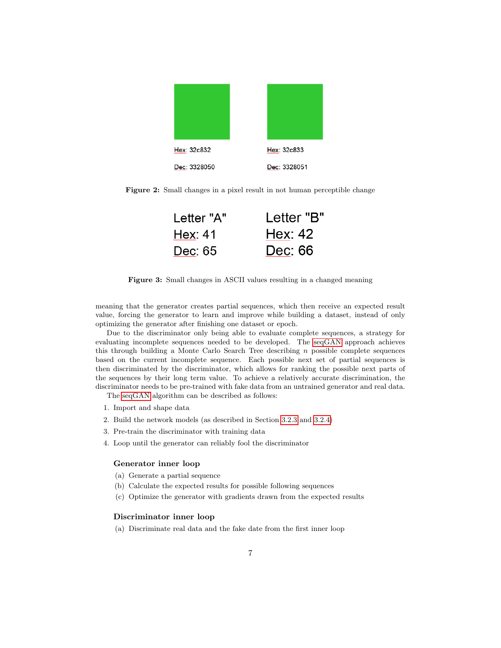<span id="page-6-0"></span>

Figure 2: Small changes in a pixel result in not human perceptible change

| Letter "A" | Letter "B" |
|------------|------------|
| Hex: 41    | Hex: $42$  |
| Dec: 65    | Dec: 66    |

<span id="page-6-1"></span>Figure 3: Small changes in ASCII values resulting in a changed meaning

meaning that the generator creates partial sequences, which then receive an expected result value, forcing the generator to learn and improve while building a dataset, instead of only optimizing the generator after finishing one dataset or epoch.

Due to the discriminator only being able to evaluate complete sequences, a strategy for evaluating incomplete sequences needed to be developed. The [seqGAN](#page-0-0) approach achieves this through building a Monte Carlo Search Tree describing  $n$  possible complete sequences based on the current incomplete sequence. Each possible next set of partial sequences is then discriminated by the discriminator, which allows for ranking the possible next parts of the sequences by their long term value. To achieve a relatively accurate discrimination, the discriminator needs to be pre-trained with fake data from an untrained generator and real data.

The [seqGAN](#page-0-0) algorithm can be described as follows:

- 1. Import and shape data
- 2. Build the network models (as described in Section [3.2.3](#page-4-1) and [3.2.4\)](#page-4-2)
- 3. Pre-train the discriminator with training data
- 4. Loop until the generator can reliably fool the discriminator

#### Generator inner loop

- (a) Generate a partial sequence
- (b) Calculate the expected results for possible following sequences
- (c) Optimize the generator with gradients drawn from the expected results

#### Discriminator inner loop

(a) Discriminate real data and the fake date from the first inner loop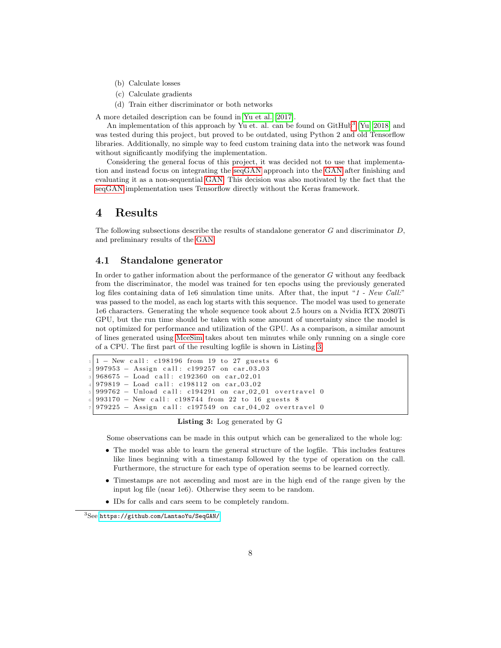- (b) Calculate losses
- (c) Calculate gradients
- (d) Train either discriminator or both networks

A more detailed description can be found in [Yu et al.](#page-13-1) [\[2017\]](#page-13-1).

An implementation of this approach by Yu et. al. can be found on GitHub<sup>[3](#page-7-1)</sup> [\[Yu, 2018\]](#page-13-6) and was tested during this project, but proved to be outdated, using Python 2 and old Tensorflow libraries. Additionally, no simple way to feed custom training data into the network was found without significantly modifying the implementation.

Considering the general focus of this project, it was decided not to use that implementation and instead focus on integrating the [seqGAN](#page-0-0) approach into the [GAN](#page-0-0) after finishing and evaluating it as a non-sequential [GAN.](#page-0-0) This decision was also motivated by the fact that the [seqGAN](#page-0-0) implementation uses Tensorflow directly without the Keras framework.

### <span id="page-7-0"></span>4 Results

The following subsections describe the results of standalone generator  $G$  and discriminator  $D$ , and preliminary results of the [GAN.](#page-0-0)

#### <span id="page-7-3"></span>4.1 Standalone generator

In order to gather information about the performance of the generator G without any feedback from the discriminator, the model was trained for ten epochs using the previously generated log files containing data of 1e6 simulation time units. After that, the input "1 - New Call:" was passed to the model, as each log starts with this sequence. The model was used to generate 1e6 characters. Generating the whole sequence took about 2.5 hours on a Nvidia RTX 2080Ti GPU, but the run time should be taken with some amount of uncertainty since the model is not optimized for performance and utilization of the GPU. As a comparison, a similar amount of lines generated using [MceSim](#page-0-0) takes about ten minutes while only running on a single core of a CPU. The first part of the resulting logfile is shown in Listing [3.](#page-7-2)

```
1 - New call: c198196 from 19 to 27 guests 6997953 - Assign call: c199257 on car_03_03
968675 - Load call: c192360 on car_02_01
979819 - Load call: c198112 on car_03_02
999762 - Unload call: c194291 on car_02_01 overtravel 0
993170 - New call: c198744 from 22 to 16 guests 8
979225 - Assign call: c197549 on car_04_02 overtravel 0
```
Listing 3: Log generated by G

Some observations can be made in this output which can be generalized to the whole log:

- The model was able to learn the general structure of the logfile. This includes features like lines beginning with a timestamp followed by the type of operation on the call. Furthermore, the structure for each type of operation seems to be learned correctly.
- Timestamps are not ascending and most are in the high end of the range given by the input log file (near 1e6). Otherwise they seem to be random.
- IDs for calls and cars seem to be completely random.

<span id="page-7-1"></span><sup>3</sup>See https://github.[com/LantaoYu/SeqGAN/](https://github.com/LantaoYu/SeqGAN/)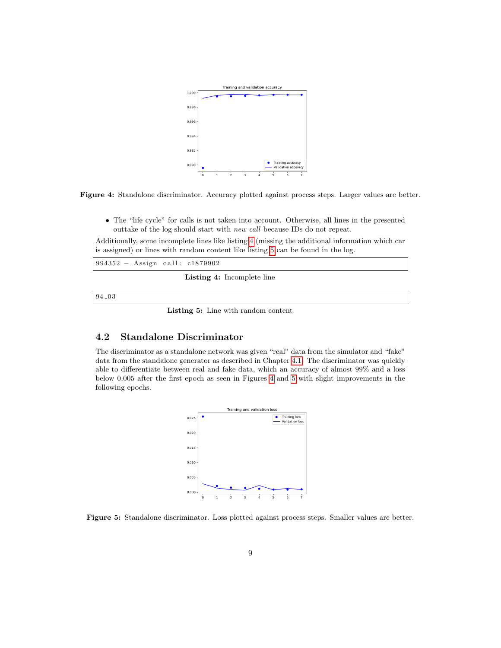<span id="page-8-2"></span>

Figure 4: Standalone discriminator. Accuracy plotted against process steps. Larger values are better.

• The "life cycle" for calls is not taken into account. Otherwise, all lines in the presented outtake of the log should start with new call because IDs do not repeat.

Additionally, some incomplete lines like listing [4](#page-8-0) (missing the additional information which car is assigned) or lines with random content like listing [5](#page-8-1) can be found in the log.

<span id="page-8-1"></span><span id="page-8-0"></span>

| $994352 - Assign call: c1879902$  |
|-----------------------------------|
| <b>Listing 4:</b> Incomplete line |
| 94.03                             |

Listing 5: Line with random content

### 4.2 Standalone Discriminator

<span id="page-8-3"></span>The discriminator as a standalone network was given "real" data from the simulator and "fake" data from the standalone generator as described in Chapter [4.1.](#page-7-3) The discriminator was quickly able to differentiate between real and fake data, which an accuracy of almost 99% and a loss below 0.005 after the first epoch as seen in Figures [4](#page-8-2) and [5](#page-8-3) with slight improvements in the following epochs.



Figure 5: Standalone discriminator. Loss plotted against process steps. Smaller values are better.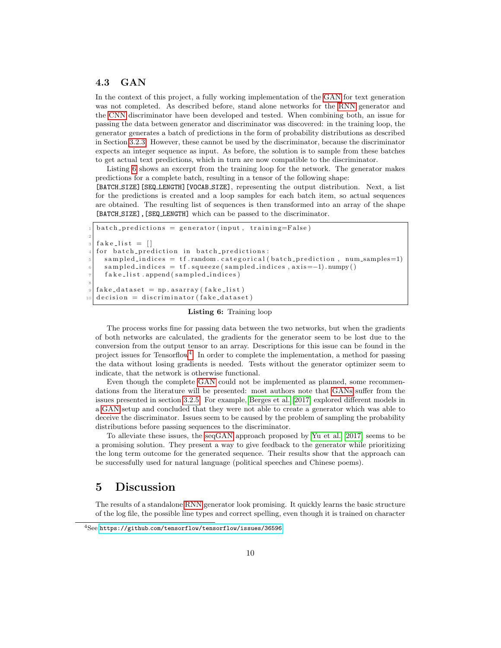### 4.3 GAN

In the context of this project, a fully working implementation of the [GAN](#page-0-0) for text generation was not completed. As described before, stand alone networks for the [RNN](#page-0-0) generator and the [CNN](#page-0-0) discriminator have been developed and tested. When combining both, an issue for passing the data between generator and discriminator was discovered: in the training loop, the generator generates a batch of predictions in the form of probability distributions as described in Section [3.2.3.](#page-4-1) However, these cannot be used by the discriminator, because the discriminator expects an integer sequence as input. As before, the solution is to sample from these batches to get actual text predictions, which in turn are now compatible to the discriminator.

Listing [6](#page-9-1) shows an excerpt from the training loop for the network. The generator makes predictions for a complete batch, resulting in a tensor of the following shape:

[BATCH SIZE][SEQ LENGTH][VOCAB SIZE], representing the output distribution. Next, a list for the predictions is created and a loop samples for each batch item, so actual sequences are obtained. The resulting list of sequences is then transformed into an array of the shape [BATCH\_SIZE], [SEQ\_LENGTH] which can be passed to the discriminator.

```
batch\_predictions = generator(input, training=False)2
 fake\_list = []for batch prediction in batch predictions:
   sampled\_indices = tf.random.categorical(batch\_prediction, num\_samples=1)sampled\_indices = tf. squeeze (sampled_indices, axis =-1). numpy ()
    fake_list.append(sampled_indices)
8
 fake\_dataset = np. as array(fake\_list)\text{decision} = \text{discriminator} \left( \text{fake\_dataset} \right)
```
Listing 6: Training loop

The process works fine for passing data between the two networks, but when the gradients of both networks are calculated, the gradients for the generator seem to be lost due to the conversion from the output tensor to an array. Descriptions for this issue can be found in the project issues for Tensorflow<sup>[4](#page-9-2)</sup>. In order to complete the implementation, a method for passing the data without losing gradients is needed. Tests without the generator optimizer seem to indicate, that the network is otherwise functional.

Even though the complete [GAN](#page-0-0) could not be implemented as planned, some recommendations from the literature will be presented: most authors note that [GANs](#page-0-0) suffer from the issues presented in section [3.2.5.](#page-5-0) For example, [Berges et al.](#page-12-2) [\[2017\]](#page-12-2) explored different models in a [GAN](#page-0-0) setup and concluded that they were not able to create a generator which was able to deceive the discriminator. Issues seem to be caused by the problem of sampling the probability distributions before passing sequences to the discriminator.

To alleviate these issues, the [seqGAN](#page-0-0) approach proposed by [Yu et al.](#page-13-1) [\[2017\]](#page-13-1) seems to be a promising solution. They present a way to give feedback to the generator while prioritizing the long term outcome for the generated sequence. Their results show that the approach can be successfully used for natural language (political speeches and Chinese poems).

## <span id="page-9-0"></span>5 Discussion

The results of a standalone [RNN](#page-0-0) generator look promising. It quickly learns the basic structure of the log file, the possible line types and correct spelling, even though it is trained on character

<span id="page-9-2"></span><sup>4</sup>See https://github.[com/tensorflow/tensorflow/issues/36596](https://github.com/tensorflow/tensorflow/issues/36596)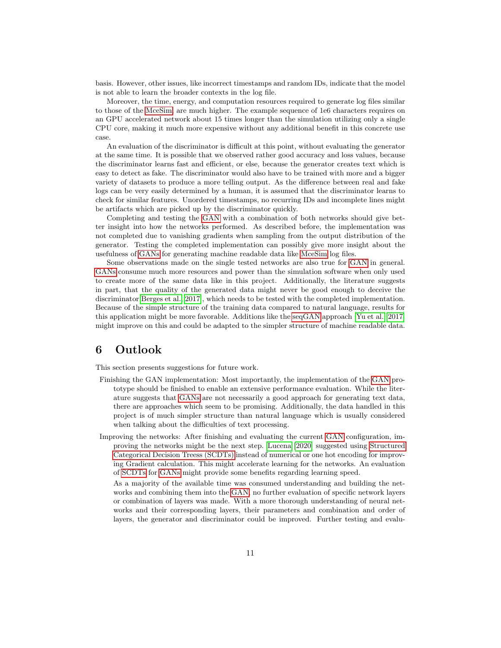basis. However, other issues, like incorrect timestamps and random IDs, indicate that the model is not able to learn the broader contexts in the log file.

Moreover, the time, energy, and computation resources required to generate log files similar to those of the [MceSim,](#page-0-0) are much higher. The example sequence of 1e6 characters requires on an GPU accelerated network about 15 times longer than the simulation utilizing only a single CPU core, making it much more expensive without any additional benefit in this concrete use case.

An evaluation of the discriminator is difficult at this point, without evaluating the generator at the same time. It is possible that we observed rather good accuracy and loss values, because the discriminator learns fast and efficient, or else, because the generator creates text which is easy to detect as fake. The discriminator would also have to be trained with more and a bigger variety of datasets to produce a more telling output. As the difference between real and fake logs can be very easily determined by a human, it is assumed that the discriminator learns to check for similar features. Unordered timestamps, no recurring IDs and incomplete lines might be artifacts which are picked up by the discriminator quickly.

Completing and testing the [GAN](#page-0-0) with a combination of both networks should give better insight into how the networks performed. As described before, the implementation was not completed due to vanishing gradients when sampling from the output distribution of the generator. Testing the completed implementation can possibly give more insight about the usefulness of [GANs](#page-0-0) for generating machine readable data like [MceSim](#page-0-0) log files.

Some observations made on the single tested networks are also true for [GAN](#page-0-0) in general. [GANs](#page-0-0) consume much more resources and power than the simulation software when only used to create more of the same data like in this project. Additionally, the literature suggests in part, that the quality of the generated data might never be good enough to deceive the discriminator[\[Berges et al., 2017\]](#page-12-2), which needs to be tested with the completed implementation. Because of the simple structure of the training data compared to natural language, results for this application might be more favorable. Additions like the [seqGAN](#page-0-0) approach [\[Yu et al., 2017\]](#page-13-1) might improve on this and could be adapted to the simpler structure of machine readable data.

### <span id="page-10-0"></span>6 Outlook

This section presents suggestions for future work.

- Finishing the GAN implementation: Most importantly, the implementation of the [GAN](#page-0-0) prototype should be finished to enable an extensive performance evaluation. While the literature suggests that [GANs](#page-0-0) are not necessarily a good approach for generating text data, there are approaches which seem to be promising. Additionally, the data handled in this project is of much simpler structure than natural language which is usually considered when talking about the difficulties of text processing.
- Improving the networks: After finishing and evaluating the current [GAN](#page-0-0) configuration, improving the networks might be the next step. [Lucena](#page-13-7) [\[2020\]](#page-13-7) suggested using [Structured](#page-0-0) [Categorical Decision Treess \(SCDTs\)](#page-0-0) instead of numerical or one hot encoding for improving Gradient calculation. This might accelerate learning for the networks. An evaluation of [SCDTs](#page-0-0) for [GANs](#page-0-0) might provide some benefits regarding learning speed.

As a majority of the available time was consumed understanding and building the networks and combining them into the [GAN,](#page-0-0) no further evaluation of specific network layers or combination of layers was made. With a more thorough understanding of neural networks and their corresponding layers, their parameters and combination and order of layers, the generator and discriminator could be improved. Further testing and evalu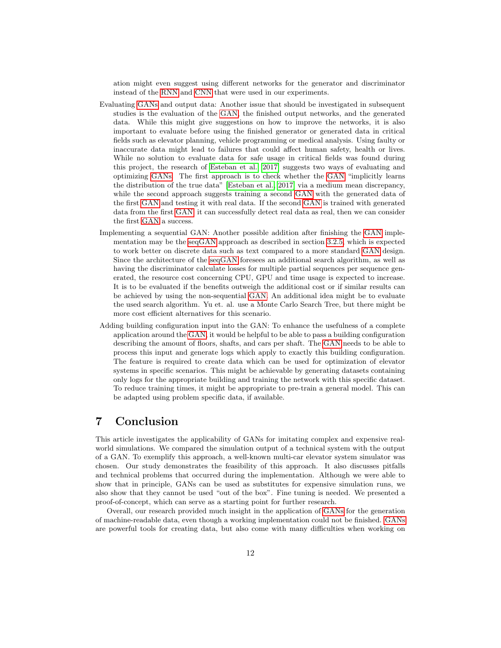ation might even suggest using different networks for the generator and discriminator instead of the [RNN](#page-0-0) and [CNN](#page-0-0) that were used in our experiments.

- Evaluating [GANs](#page-0-0) and output data: Another issue that should be investigated in subsequent studies is the evaluation of the [GAN,](#page-0-0) the finished output networks, and the generated data. While this might give suggestions on how to improve the networks, it is also important to evaluate before using the finished generator or generated data in critical fields such as elevator planning, vehicle programming or medical analysis. Using faulty or inaccurate data might lead to failures that could affect human safety, health or lives. While no solution to evaluate data for safe usage in critical fields was found during this project, the research of [Esteban et al.](#page-12-8) [\[2017\]](#page-12-8) suggests two ways of evaluating and optimizing [GANs.](#page-0-0) The first approach is to check whether the [GAN](#page-0-0) "implicitly learns the distribution of the true data" [\[Esteban et al., 2017\]](#page-12-8) via a medium mean discrepancy, while the second approach suggests training a second [GAN](#page-0-0) with the generated data of the first [GAN](#page-0-0) and testing it with real data. If the second [GAN](#page-0-0) is trained with generated data from the first [GAN,](#page-0-0) it can successfully detect real data as real, then we can consider the first [GAN](#page-0-0) a success.
- Implementing a sequential GAN: Another possible addition after finishing the [GAN](#page-0-0) implementation may be the [seqGAN](#page-0-0) approach as described in section [3.2.5,](#page-5-0) which is expected to work better on discrete data such as text compared to a more standard [GAN](#page-0-0) design. Since the architecture of the [seqGAN](#page-0-0) foresees an additional search algorithm, as well as having the discriminator calculate losses for multiple partial sequences per sequence generated, the resource cost concerning CPU, GPU and time usage is expected to increase. It is to be evaluated if the benefits outweigh the additional cost or if similar results can be achieved by using the non-sequential [GAN.](#page-0-0) An additional idea might be to evaluate the used search algorithm. Yu et. al. use a Monte Carlo Search Tree, but there might be more cost efficient alternatives for this scenario.
- Adding building configuration input into the GAN: To enhance the usefulness of a complete application around the [GAN,](#page-0-0) it would be helpful to be able to pass a building configuration describing the amount of floors, shafts, and cars per shaft. The [GAN](#page-0-0) needs to be able to process this input and generate logs which apply to exactly this building configuration. The feature is required to create data which can be used for optimization of elevator systems in specific scenarios. This might be achievable by generating datasets containing only logs for the appropriate building and training the network with this specific dataset. To reduce training times, it might be appropriate to pre-train a general model. This can be adapted using problem specific data, if available.

### <span id="page-11-0"></span>7 Conclusion

This article investigates the applicability of GANs for imitating complex and expensive realworld simulations. We compared the simulation output of a technical system with the output of a GAN. To exemplify this approach, a well-known multi-car elevator system simulator was chosen. Our study demonstrates the feasibility of this approach. It also discusses pitfalls and technical problems that occurred during the implementation. Although we were able to show that in principle, GANs can be used as substitutes for expensive simulation runs, we also show that they cannot be used "out of the box". Fine tuning is needed. We presented a proof-of-concept, which can serve as a starting point for further research.

Overall, our research provided much insight in the application of [GANs](#page-0-0) for the generation of machine-readable data, even though a working implementation could not be finished. [GANs](#page-0-0) are powerful tools for creating data, but also come with many difficulties when working on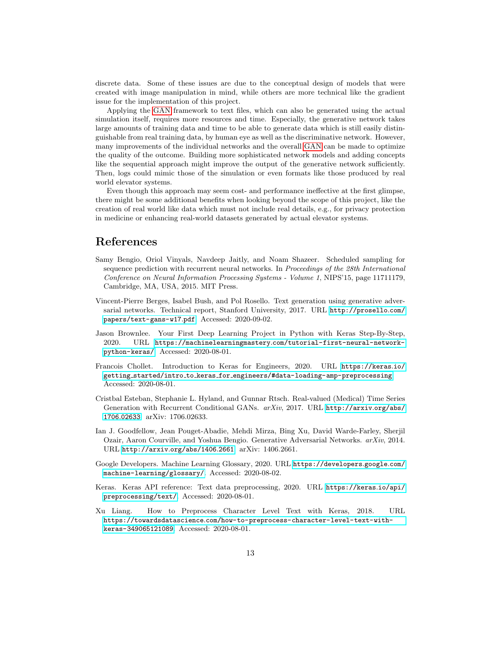discrete data. Some of these issues are due to the conceptual design of models that were created with image manipulation in mind, while others are more technical like the gradient issue for the implementation of this project.

Applying the [GAN](#page-0-0) framework to text files, which can also be generated using the actual simulation itself, requires more resources and time. Especially, the generative network takes large amounts of training data and time to be able to generate data which is still easily distinguishable from real training data, by human eye as well as the discriminative network. However, many improvements of the individual networks and the overall [GAN](#page-0-0) can be made to optimize the quality of the outcome. Building more sophisticated network models and adding concepts like the sequential approach might improve the output of the generative network sufficiently. Then, logs could mimic those of the simulation or even formats like those produced by real world elevator systems.

Even though this approach may seem cost- and performance ineffective at the first glimpse, there might be some additional benefits when looking beyond the scope of this project, like the creation of real world like data which must not include real details, e.g., for privacy protection in medicine or enhancing real-world datasets generated by actual elevator systems.

### References

- <span id="page-12-0"></span>Samy Bengio, Oriol Vinyals, Navdeep Jaitly, and Noam Shazeer. Scheduled sampling for sequence prediction with recurrent neural networks. In Proceedings of the 28th International Conference on Neural Information Processing Systems - Volume 1, NIPS'15, page 11711179, Cambridge, MA, USA, 2015. MIT Press.
- <span id="page-12-2"></span>Vincent-Pierre Berges, Isabel Bush, and Pol Rosello. Text generation using generative adversarial networks. Technical report, Stanford University, 2017. URL [http://prosello](http://prosello.com/papers/text-gans-w17.pdf).com/ [papers/text-gans-w17](http://prosello.com/papers/text-gans-w17.pdf).pdf. Accessed: 2020-09-02.
- <span id="page-12-4"></span>Jason Brownlee. Your First Deep Learning Project in Python with Keras Step-By-Step, 2020. URL https://machinelearningmastery.[com/tutorial-first-neural-network](https://machinelearningmastery.com/tutorial-first-neural-network-python-keras/)[python-keras/](https://machinelearningmastery.com/tutorial-first-neural-network-python-keras/). Accessed: 2020-08-01.
- <span id="page-12-3"></span>Francois Chollet. Introduction to Keras for Engineers, 2020. URL [https://keras](https://keras.io/getting_started/intro_to_keras_for_engineers/#data-loading-amp-preprocessing).io/ getting started/intro to keras for [engineers/#data-loading-amp-preprocessing](https://keras.io/getting_started/intro_to_keras_for_engineers/#data-loading-amp-preprocessing). Accessed: 2020-08-01.
- <span id="page-12-8"></span>Cristbal Esteban, Stephanie L. Hyland, and Gunnar Rtsch. Real-valued (Medical) Time Series Generation with Recurrent Conditional GANs. arXiv, 2017. URL [http://arxiv](http://arxiv.org/abs/1706.02633).org/abs/ 1706.[02633](http://arxiv.org/abs/1706.02633). arXiv: 1706.02633.
- <span id="page-12-1"></span>Ian J. Goodfellow, Jean Pouget-Abadie, Mehdi Mirza, Bing Xu, David Warde-Farley, Sherjil Ozair, Aaron Courville, and Yoshua Bengio. Generative Adversarial Networks. arXiv, 2014. URL [http://arxiv](http://arxiv.org/abs/1406.2661).org/abs/1406.2661. arXiv: 1406.2661.
- <span id="page-12-7"></span>Google Developers. Machine Learning Glossary, 2020. URL [https://developers](https://developers.google.com/machine-learning/glossary/).google.com/ [machine-learning/glossary/](https://developers.google.com/machine-learning/glossary/). Accessed: 2020-08-02.
- <span id="page-12-6"></span>Keras. Keras API reference: Text data preprocessing, 2020. URL [https://keras](https://keras.io/api/preprocessing/text/).io/api/ [preprocessing/text/](https://keras.io/api/preprocessing/text/). Accessed: 2020-08-01.
- <span id="page-12-5"></span>Xu Liang. How to Preprocess Character Level Text with Keras, 2018. URL https://towardsdatascience.[com/how-to-preprocess-character-level-text-with](https://towardsdatascience.com/how-to-preprocess-character-level-text-with-keras-349065121089)[keras-349065121089](https://towardsdatascience.com/how-to-preprocess-character-level-text-with-keras-349065121089). Accessed: 2020-08-01.